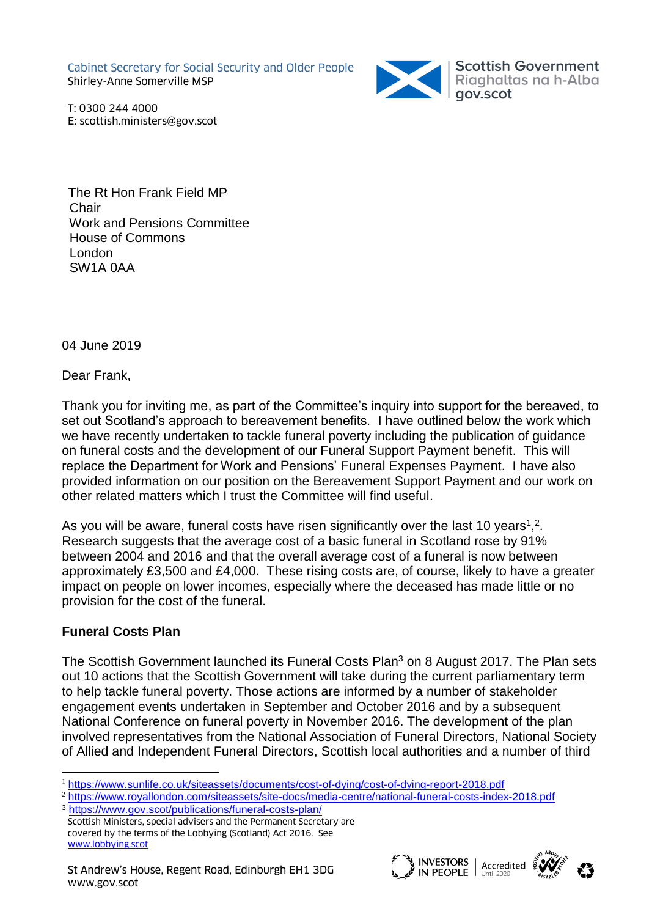Cabinet Secretary for Social Security and Older People Shirley-Anne Somerville MSP



T: 0300 244 4000 E: scottish.ministers@gov.scot

 The Rt Hon Frank Field MP Chair Work and Pensions Committee House of Commons London SW1A 0AA

04 June 2019

Dear Frank,

Thank you for inviting me, as part of the Committee's inquiry into support for the bereaved, to set out Scotland's approach to bereavement benefits. I have outlined below the work which we have recently undertaken to tackle funeral poverty including the publication of guidance on funeral costs and the development of our Funeral Support Payment benefit. This will replace the Department for Work and Pensions' Funeral Expenses Payment. I have also provided information on our position on the Bereavement Support Payment and our work on other related matters which I trust the Committee will find useful.

As you will be aware, funeral costs have risen significantly over the last 10 years<sup>1</sup>,<sup>2</sup>. Research suggests that the average cost of a basic funeral in Scotland rose by 91% between 2004 and 2016 and that the overall average cost of a funeral is now between approximately £3,500 and £4,000. These rising costs are, of course, likely to have a greater impact on people on lower incomes, especially where the deceased has made little or no provision for the cost of the funeral.

# **Funeral Costs Plan**

The Scottish Government launched its Funeral Costs Plan<sup>3</sup> on 8 August 2017. The Plan sets out 10 actions that the Scottish Government will take during the current parliamentary term to help tackle funeral poverty. Those actions are informed by a number of stakeholder engagement events undertaken in September and October 2016 and by a subsequent National Conference on funeral poverty in November 2016. The development of the plan involved representatives from the National Association of Funeral Directors, National Society of Allied and Independent Funeral Directors, Scottish local authorities and a number of third



 $\overline{a}$ <sup>1</sup> <https://www.sunlife.co.uk/siteassets/documents/cost-of-dying/cost-of-dying-report-2018.pdf>

<sup>2</sup> <https://www.royallondon.com/siteassets/site-docs/media-centre/national-funeral-costs-index-2018.pdf> <sup>3</sup> <https://www.gov.scot/publications/funeral-costs-plan/>

Scottish Ministers, special advisers and the Permanent Secretary are covered by the terms of the Lobbying (Scotland) Act 2016. See [www.lobbying.scot](http://www.lobbying.scot/)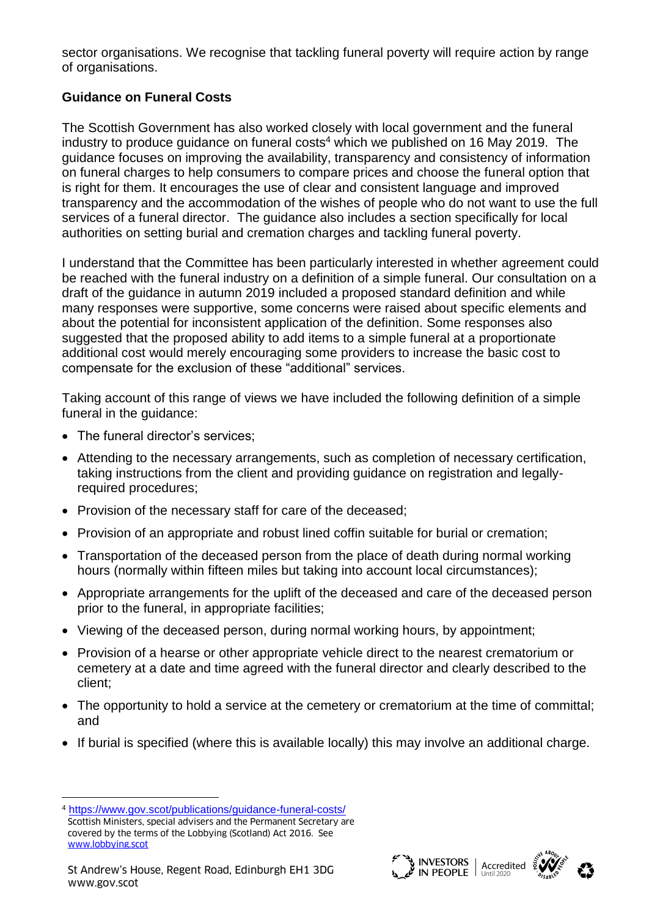sector organisations. We recognise that tackling funeral poverty will require action by range of organisations.

# **Guidance on Funeral Costs**

The Scottish Government has also worked closely with local government and the funeral industry to produce guidance on funeral costs<sup>4</sup> which we published on 16 May 2019. The guidance focuses on improving the availability, transparency and consistency of information on funeral charges to help consumers to compare prices and choose the funeral option that is right for them. It encourages the use of clear and consistent language and improved transparency and the accommodation of the wishes of people who do not want to use the full services of a funeral director. The guidance also includes a section specifically for local authorities on setting burial and cremation charges and tackling funeral poverty.

I understand that the Committee has been particularly interested in whether agreement could be reached with the funeral industry on a definition of a simple funeral. Our consultation on a draft of the guidance in autumn 2019 included a proposed standard definition and while many responses were supportive, some concerns were raised about specific elements and about the potential for inconsistent application of the definition. Some responses also suggested that the proposed ability to add items to a simple funeral at a proportionate additional cost would merely encouraging some providers to increase the basic cost to compensate for the exclusion of these "additional" services.

Taking account of this range of views we have included the following definition of a simple funeral in the guidance:

- The funeral director's services:
- Attending to the necessary arrangements, such as completion of necessary certification, taking instructions from the client and providing guidance on registration and legallyrequired procedures;
- Provision of the necessary staff for care of the deceased;
- Provision of an appropriate and robust lined coffin suitable for burial or cremation;
- Transportation of the deceased person from the place of death during normal working hours (normally within fifteen miles but taking into account local circumstances);
- Appropriate arrangements for the uplift of the deceased and care of the deceased person prior to the funeral, in appropriate facilities;
- Viewing of the deceased person, during normal working hours, by appointment;
- Provision of a hearse or other appropriate vehicle direct to the nearest crematorium or cemetery at a date and time agreed with the funeral director and clearly described to the client;
- The opportunity to hold a service at the cemetery or crematorium at the time of committal; and
- If burial is specified (where this is available locally) this may involve an additional charge.

l





Scottish Ministers, special advisers and the Permanent Secretary are covered by the terms of the Lobbying (Scotland) Act 2016. See [www.lobbying.scot](http://www.lobbying.scot/) <sup>4</sup> <https://www.gov.scot/publications/guidance-funeral-costs/>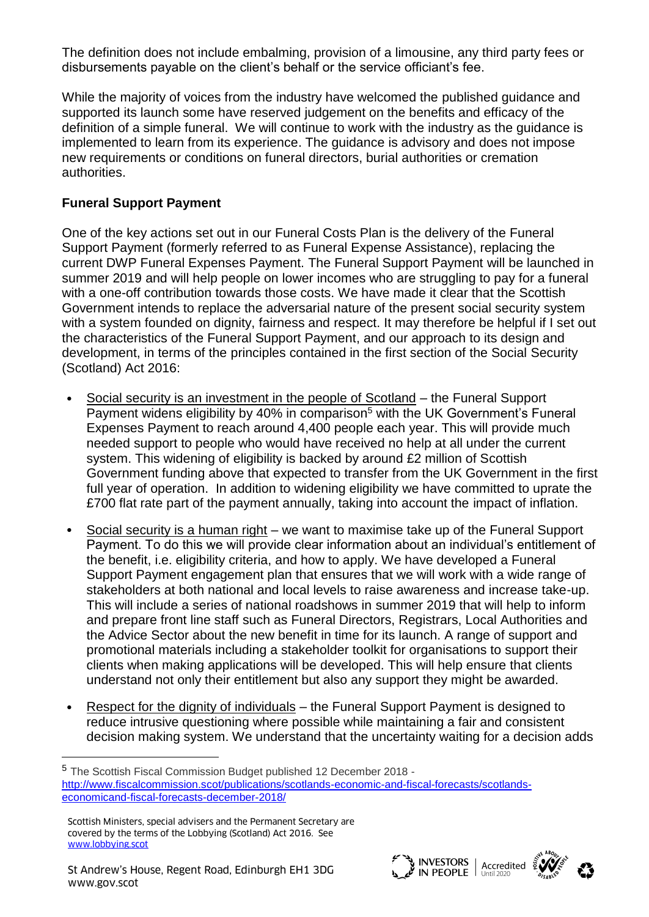The definition does not include embalming, provision of a limousine, any third party fees or disbursements payable on the client's behalf or the service officiant's fee.

While the majority of voices from the industry have welcomed the published guidance and supported its launch some have reserved judgement on the benefits and efficacy of the definition of a simple funeral. We will continue to work with the industry as the guidance is implemented to learn from its experience. The guidance is advisory and does not impose new requirements or conditions on funeral directors, burial authorities or cremation authorities.

## **Funeral Support Payment**

One of the key actions set out in our Funeral Costs Plan is the delivery of the Funeral Support Payment (formerly referred to as Funeral Expense Assistance), replacing the current DWP Funeral Expenses Payment. The Funeral Support Payment will be launched in summer 2019 and will help people on lower incomes who are struggling to pay for a funeral with a one-off contribution towards those costs. We have made it clear that the Scottish Government intends to replace the adversarial nature of the present social security system with a system founded on dignity, fairness and respect. It may therefore be helpful if I set out the characteristics of the Funeral Support Payment, and our approach to its design and development, in terms of the principles contained in the first section of the Social Security (Scotland) Act 2016:

- Social security is an investment in the people of Scotland the Funeral Support Payment widens eligibility by 40% in comparison<sup>5</sup> with the UK Government's Funeral Expenses Payment to reach around 4,400 people each year. This will provide much needed support to people who would have received no help at all under the current system. This widening of eligibility is backed by around £2 million of Scottish Government funding above that expected to transfer from the UK Government in the first full year of operation. In addition to widening eligibility we have committed to uprate the £700 flat rate part of the payment annually, taking into account the impact of inflation.
- Social security is a human right we want to maximise take up of the Funeral Support Payment. To do this we will provide clear information about an individual's entitlement of the benefit, i.e. eligibility criteria, and how to apply. We have developed a Funeral Support Payment engagement plan that ensures that we will work with a wide range of stakeholders at both national and local levels to raise awareness and increase take-up. This will include a series of national roadshows in summer 2019 that will help to inform and prepare front line staff such as Funeral Directors, Registrars, Local Authorities and the Advice Sector about the new benefit in time for its launch. A range of support and promotional materials including a stakeholder toolkit for organisations to support their clients when making applications will be developed. This will help ensure that clients understand not only their entitlement but also any support they might be awarded.
- Respect for the dignity of individuals the Funeral Support Payment is designed to reduce intrusive questioning where possible while maintaining a fair and consistent decision making system. We understand that the uncertainty waiting for a decision adds

l



<sup>5</sup> The Scottish Fiscal Commission Budget published 12 December 2018 [http://www.fiscalcommission.scot/publications/scotlands-economic-and-fiscal-forecasts/scotlands](http://www.fiscalcommission.scot/publications/scotlands-economic-and-fiscal-forecasts/scotlands-economicand-fiscal-forecasts-december-2018/)[economicand-fiscal-forecasts-december-2018/](http://www.fiscalcommission.scot/publications/scotlands-economic-and-fiscal-forecasts/scotlands-economicand-fiscal-forecasts-december-2018/)

Scottish Ministers, special advisers and the Permanent Secretary are covered by the terms of the Lobbying (Scotland) Act 2016. See [www.lobbying.scot](http://www.lobbying.scot/)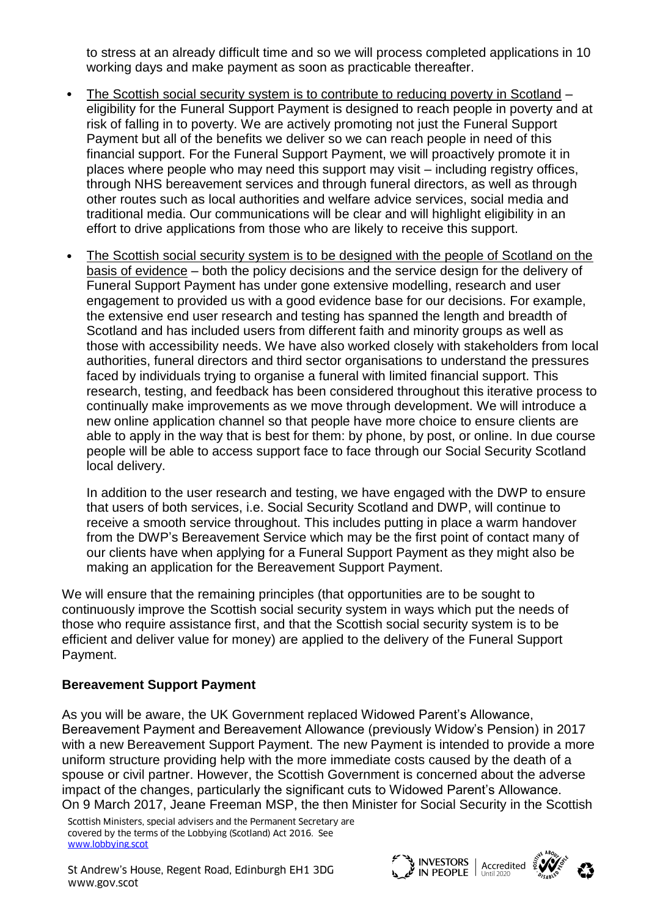to stress at an already difficult time and so we will process completed applications in 10 working days and make payment as soon as practicable thereafter.

- The Scottish social security system is to contribute to reducing poverty in Scotland eligibility for the Funeral Support Payment is designed to reach people in poverty and at risk of falling in to poverty. We are actively promoting not just the Funeral Support Payment but all of the benefits we deliver so we can reach people in need of this financial support. For the Funeral Support Payment, we will proactively promote it in places where people who may need this support may visit – including registry offices, through NHS bereavement services and through funeral directors, as well as through other routes such as local authorities and welfare advice services, social media and traditional media. Our communications will be clear and will highlight eligibility in an effort to drive applications from those who are likely to receive this support.
- The Scottish social security system is to be designed with the people of Scotland on the basis of evidence – both the policy decisions and the service design for the delivery of Funeral Support Payment has under gone extensive modelling, research and user engagement to provided us with a good evidence base for our decisions. For example, the extensive end user research and testing has spanned the length and breadth of Scotland and has included users from different faith and minority groups as well as those with accessibility needs. We have also worked closely with stakeholders from local authorities, funeral directors and third sector organisations to understand the pressures faced by individuals trying to organise a funeral with limited financial support. This research, testing, and feedback has been considered throughout this iterative process to continually make improvements as we move through development. We will introduce a new online application channel so that people have more choice to ensure clients are able to apply in the way that is best for them: by phone, by post, or online. In due course people will be able to access support face to face through our Social Security Scotland local delivery.

In addition to the user research and testing, we have engaged with the DWP to ensure that users of both services, i.e. Social Security Scotland and DWP, will continue to receive a smooth service throughout. This includes putting in place a warm handover from the DWP's Bereavement Service which may be the first point of contact many of our clients have when applying for a Funeral Support Payment as they might also be making an application for the Bereavement Support Payment.

We will ensure that the remaining principles (that opportunities are to be sought to continuously improve the Scottish social security system in ways which put the needs of those who require assistance first, and that the Scottish social security system is to be efficient and deliver value for money) are applied to the delivery of the Funeral Support Payment.

### **Bereavement Support Payment**

As you will be aware, the UK Government replaced Widowed Parent's Allowance, Bereavement Payment and Bereavement Allowance (previously Widow's Pension) in 2017 with a new Bereavement Support Payment. The new Payment is intended to provide a more uniform structure providing help with the more immediate costs caused by the death of a spouse or civil partner. However, the Scottish Government is concerned about the adverse impact of the changes, particularly the significant cuts to Widowed Parent's Allowance. On 9 March 2017, Jeane Freeman MSP, the then Minister for Social Security in the Scottish

Scottish Ministers, special advisers and the Permanent Secretary are covered by the terms of the Lobbying (Scotland) Act 2016. See [www.lobbying.scot](http://www.lobbying.scot/)

St Andrew's House, Regent Road, Edinburgh EH1 3DG St Andrew's House, Regent Road, Edinburgh EH1 3DG هي المسلم المسلم المسلم المسلم الكلماء St Andrew's House, Regent Road, Edinburgh EH1 3DG هي المسلم المسلم المسلم المسلم المسلم المسلم المسلم المسلم ال<br>Www.gov.scot

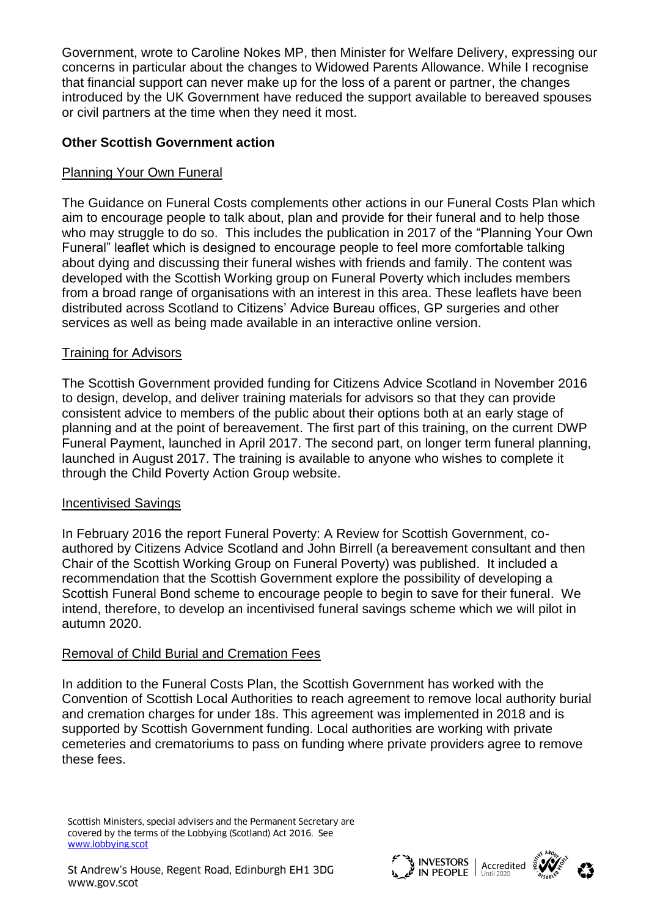Government, wrote to Caroline Nokes MP, then Minister for Welfare Delivery, expressing our concerns in particular about the changes to Widowed Parents Allowance. While I recognise that financial support can never make up for the loss of a parent or partner, the changes introduced by the UK Government have reduced the support available to bereaved spouses or civil partners at the time when they need it most.

## **Other Scottish Government action**

## Planning Your Own Funeral

The Guidance on Funeral Costs complements other actions in our Funeral Costs Plan which aim to encourage people to talk about, plan and provide for their funeral and to help those who may struggle to do so. This includes the publication in 2017 of the "Planning Your Own Funeral" leaflet which is designed to encourage people to feel more comfortable talking about dying and discussing their funeral wishes with friends and family. The content was developed with the Scottish Working group on Funeral Poverty which includes members from a broad range of organisations with an interest in this area. These leaflets have been distributed across Scotland to Citizens' Advice Bureau offices, GP surgeries and other services as well as being made available in an interactive online version.

## Training for Advisors

The Scottish Government provided funding for Citizens Advice Scotland in November 2016 to design, develop, and deliver training materials for advisors so that they can provide consistent advice to members of the public about their options both at an early stage of planning and at the point of bereavement. The first part of this training, on the current DWP Funeral Payment, launched in April 2017. The second part, on longer term funeral planning, launched in August 2017. The training is available to anyone who wishes to complete it through the Child Poverty Action Group website.

### Incentivised Savings

In February 2016 the report Funeral Poverty: A Review for Scottish Government, coauthored by Citizens Advice Scotland and John Birrell (a bereavement consultant and then Chair of the Scottish Working Group on Funeral Poverty) was published. It included a recommendation that the Scottish Government explore the possibility of developing a Scottish Funeral Bond scheme to encourage people to begin to save for their funeral. We intend, therefore, to develop an incentivised funeral savings scheme which we will pilot in autumn 2020.

### Removal of Child Burial and Cremation Fees

In addition to the Funeral Costs Plan, the Scottish Government has worked with the Convention of Scottish Local Authorities to reach agreement to remove local authority burial and cremation charges for under 18s. This agreement was implemented in 2018 and is supported by Scottish Government funding. Local authorities are working with private cemeteries and crematoriums to pass on funding where private providers agree to remove these fees.

Scottish Ministers, special advisers and the Permanent Secretary are covered by the terms of the Lobbying (Scotland) Act 2016. See [www.lobbying.scot](http://www.lobbying.scot/)